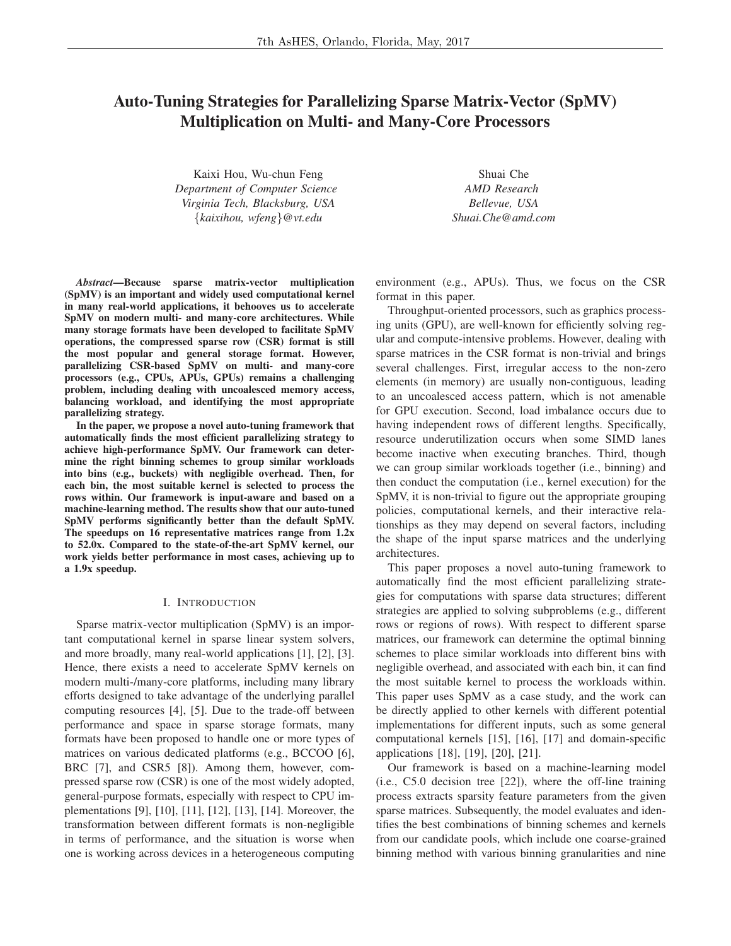# Auto-Tuning Strategies for Parallelizing Sparse Matrix-Vector (SpMV) Multiplication on Multi- and Many-Core Processors

Kaixi Hou, Wu-chun Feng *Department of Computer Science Virginia Tech, Blacksburg, USA* {*kaixihou, wfeng*}*@vt.edu*

Shuai Che *AMD Research Bellevue, USA Shuai.Che@amd.com*

*Abstract*—Because sparse matrix-vector multiplication (SpMV) is an important and widely used computational kernel in many real-world applications, it behooves us to accelerate SpMV on modern multi- and many-core architectures. While many storage formats have been developed to facilitate SpMV operations, the compressed sparse row (CSR) format is still the most popular and general storage format. However, parallelizing CSR-based SpMV on multi- and many-core processors (e.g., CPUs, APUs, GPUs) remains a challenging problem, including dealing with uncoalesced memory access, balancing workload, and identifying the most appropriate parallelizing strategy.

In the paper, we propose a novel auto-tuning framework that automatically finds the most efficient parallelizing strategy to achieve high-performance SpMV. Our framework can determine the right binning schemes to group similar workloads into bins (e.g., buckets) with negligible overhead. Then, for each bin, the most suitable kernel is selected to process the rows within. Our framework is input-aware and based on a machine-learning method. The results show that our auto-tuned SpMV performs significantly better than the default SpMV. The speedups on 16 representative matrices range from 1.2x to 52.0x. Compared to the state-of-the-art SpMV kernel, our work yields better performance in most cases, achieving up to a 1.9x speedup.

### I. INTRODUCTION

Sparse matrix-vector multiplication (SpMV) is an important computational kernel in sparse linear system solvers, and more broadly, many real-world applications [1], [2], [3]. Hence, there exists a need to accelerate SpMV kernels on modern multi-/many-core platforms, including many library efforts designed to take advantage of the underlying parallel computing resources [4], [5]. Due to the trade-off between performance and space in sparse storage formats, many formats have been proposed to handle one or more types of matrices on various dedicated platforms (e.g., BCCOO [6], BRC [7], and CSR5 [8]). Among them, however, compressed sparse row (CSR) is one of the most widely adopted, general-purpose formats, especially with respect to CPU implementations [9], [10], [11], [12], [13], [14]. Moreover, the transformation between different formats is non-negligible in terms of performance, and the situation is worse when one is working across devices in a heterogeneous computing environment (e.g., APUs). Thus, we focus on the CSR format in this paper.

Throughput-oriented processors, such as graphics processing units (GPU), are well-known for efficiently solving regular and compute-intensive problems. However, dealing with sparse matrices in the CSR format is non-trivial and brings several challenges. First, irregular access to the non-zero elements (in memory) are usually non-contiguous, leading to an uncoalesced access pattern, which is not amenable for GPU execution. Second, load imbalance occurs due to having independent rows of different lengths. Specifically, resource underutilization occurs when some SIMD lanes become inactive when executing branches. Third, though we can group similar workloads together (i.e., binning) and then conduct the computation (i.e., kernel execution) for the SpMV, it is non-trivial to figure out the appropriate grouping policies, computational kernels, and their interactive relationships as they may depend on several factors, including the shape of the input sparse matrices and the underlying architectures.

This paper proposes a novel auto-tuning framework to automatically find the most efficient parallelizing strategies for computations with sparse data structures; different strategies are applied to solving subproblems (e.g., different rows or regions of rows). With respect to different sparse matrices, our framework can determine the optimal binning schemes to place similar workloads into different bins with negligible overhead, and associated with each bin, it can find the most suitable kernel to process the workloads within. This paper uses SpMV as a case study, and the work can be directly applied to other kernels with different potential implementations for different inputs, such as some general computational kernels [15], [16], [17] and domain-specific applications [18], [19], [20], [21].

Our framework is based on a machine-learning model (i.e., C5.0 decision tree [22]), where the off-line training process extracts sparsity feature parameters from the given sparse matrices. Subsequently, the model evaluates and identifies the best combinations of binning schemes and kernels from our candidate pools, which include one coarse-grained binning method with various binning granularities and nine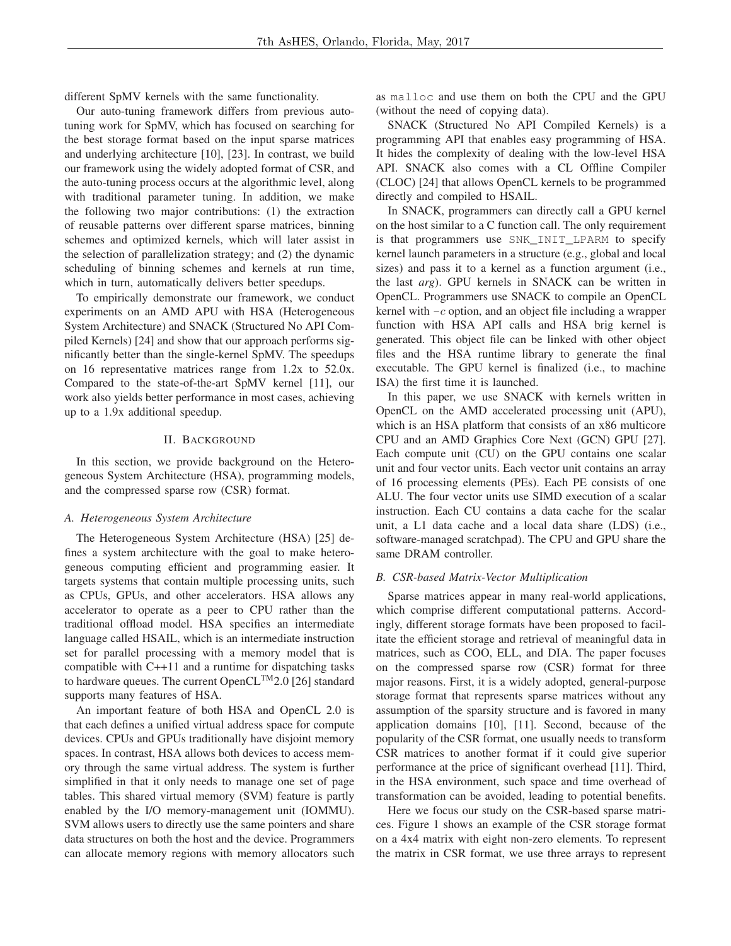different SpMV kernels with the same functionality.

Our auto-tuning framework differs from previous autotuning work for SpMV, which has focused on searching for the best storage format based on the input sparse matrices and underlying architecture [10], [23]. In contrast, we build our framework using the widely adopted format of CSR, and the auto-tuning process occurs at the algorithmic level, along with traditional parameter tuning. In addition, we make the following two major contributions: (1) the extraction of reusable patterns over different sparse matrices, binning schemes and optimized kernels, which will later assist in the selection of parallelization strategy; and (2) the dynamic scheduling of binning schemes and kernels at run time, which in turn, automatically delivers better speedups.

To empirically demonstrate our framework, we conduct experiments on an AMD APU with HSA (Heterogeneous System Architecture) and SNACK (Structured No API Compiled Kernels) [24] and show that our approach performs significantly better than the single-kernel SpMV. The speedups on 16 representative matrices range from 1.2x to 52.0x. Compared to the state-of-the-art SpMV kernel [11], our work also yields better performance in most cases, achieving up to a 1.9x additional speedup.

# II. BACKGROUND

In this section, we provide background on the Heterogeneous System Architecture (HSA), programming models, and the compressed sparse row (CSR) format.

### *A. Heterogeneous System Architecture*

The Heterogeneous System Architecture (HSA) [25] defines a system architecture with the goal to make heterogeneous computing efficient and programming easier. It targets systems that contain multiple processing units, such as CPUs, GPUs, and other accelerators. HSA allows any accelerator to operate as a peer to CPU rather than the traditional offload model. HSA specifies an intermediate language called HSAIL, which is an intermediate instruction set for parallel processing with a memory model that is compatible with C++11 and a runtime for dispatching tasks to hardware queues. The current OpenCL<sup>TM</sup>2.0 [26] standard supports many features of HSA.

An important feature of both HSA and OpenCL 2.0 is that each defines a unified virtual address space for compute devices. CPUs and GPUs traditionally have disjoint memory spaces. In contrast, HSA allows both devices to access memory through the same virtual address. The system is further simplified in that it only needs to manage one set of page tables. This shared virtual memory (SVM) feature is partly enabled by the I/O memory-management unit (IOMMU). SVM allows users to directly use the same pointers and share data structures on both the host and the device. Programmers can allocate memory regions with memory allocators such as malloc and use them on both the CPU and the GPU (without the need of copying data).

SNACK (Structured No API Compiled Kernels) is a programming API that enables easy programming of HSA. It hides the complexity of dealing with the low-level HSA API. SNACK also comes with a CL Offline Compiler (CLOC) [24] that allows OpenCL kernels to be programmed directly and compiled to HSAIL.

In SNACK, programmers can directly call a GPU kernel on the host similar to a C function call. The only requirement is that programmers use SNK\_INIT\_LPARM to specify kernel launch parameters in a structure (e.g., global and local sizes) and pass it to a kernel as a function argument (i.e., the last *arg*). GPU kernels in SNACK can be written in OpenCL. Programmers use SNACK to compile an OpenCL kernel with  $-c$  option, and an object file including a wrapper function with HSA API calls and HSA brig kernel is generated. This object file can be linked with other object files and the HSA runtime library to generate the final executable. The GPU kernel is finalized (i.e., to machine ISA) the first time it is launched.

In this paper, we use SNACK with kernels written in OpenCL on the AMD accelerated processing unit (APU), which is an HSA platform that consists of an x86 multicore CPU and an AMD Graphics Core Next (GCN) GPU [27]. Each compute unit (CU) on the GPU contains one scalar unit and four vector units. Each vector unit contains an array of 16 processing elements (PEs). Each PE consists of one ALU. The four vector units use SIMD execution of a scalar instruction. Each CU contains a data cache for the scalar unit, a L1 data cache and a local data share (LDS) (i.e., software-managed scratchpad). The CPU and GPU share the same DRAM controller.

# *B. CSR-based Matrix-Vector Multiplication*

Sparse matrices appear in many real-world applications, which comprise different computational patterns. Accordingly, different storage formats have been proposed to facilitate the efficient storage and retrieval of meaningful data in matrices, such as COO, ELL, and DIA. The paper focuses on the compressed sparse row (CSR) format for three major reasons. First, it is a widely adopted, general-purpose storage format that represents sparse matrices without any assumption of the sparsity structure and is favored in many application domains [10], [11]. Second, because of the popularity of the CSR format, one usually needs to transform CSR matrices to another format if it could give superior performance at the price of significant overhead [11]. Third, in the HSA environment, such space and time overhead of transformation can be avoided, leading to potential benefits.

Here we focus our study on the CSR-based sparse matrices. Figure 1 shows an example of the CSR storage format on a 4x4 matrix with eight non-zero elements. To represent the matrix in CSR format, we use three arrays to represent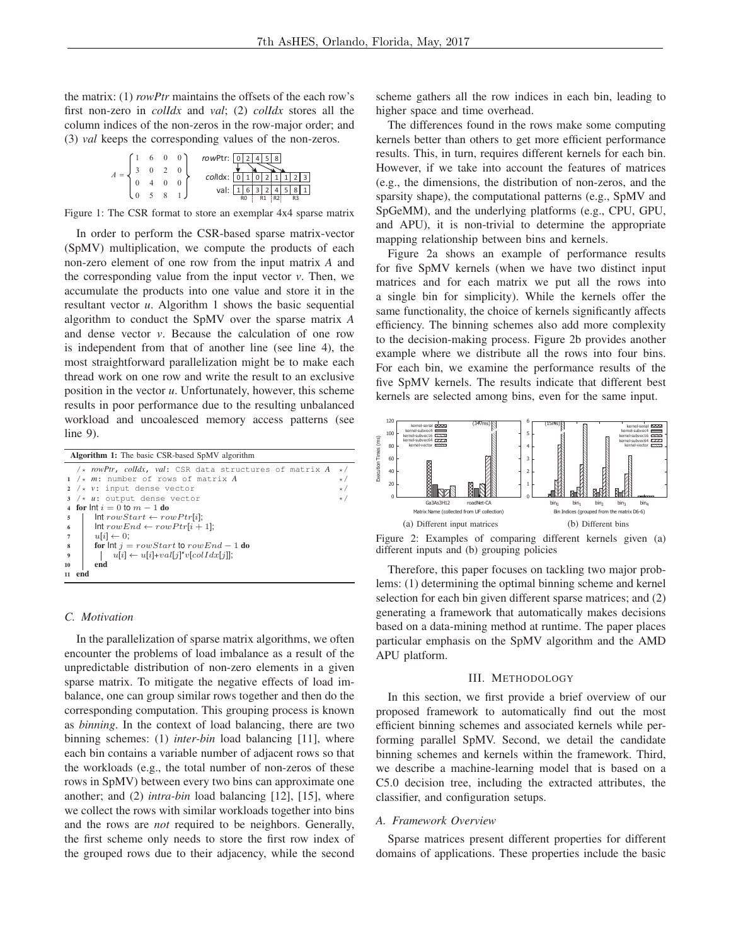the matrix: (1) *rowPtr* maintains the offsets of the each row's first non-zero in *colIdx* and *val*; (2) *colIdx* stores all the column indices of the non-zeros in the row-major order; and (3) *val* keeps the corresponding values of the non-zeros.

 0 5 8 1 0 4 0 0 3 0 2 0 1 6 0 0 *A* 0 2 4 5 8 0 1 0 2 1 1 2 3 1 6 3 2 4 5 8 1 *row*Ptr: *col*Idx: val: R0 R1 R2 R3

Figure 1: The CSR format to store an exemplar 4x4 sparse matrix

In order to perform the CSR-based sparse matrix-vector (SpMV) multiplication, we compute the products of each non-zero element of one row from the input matrix *A* and the corresponding value from the input vector  $v$ . Then, we accumulate the products into one value and store it in the resultant vector *u*. Algorithm 1 shows the basic sequential algorithm to conduct the SpMV over the sparse matrix *A* and dense vector *v*. Because the calculation of one row is independent from that of another line (see line 4), the most straightforward parallelization might be to make each thread work on one row and write the result to an exclusive position in the vector *u*. Unfortunately, however, this scheme results in poor performance due to the resulting unbalanced workload and uncoalesced memory access patterns (see line 9).

| <b>Algorithm 1:</b> The basic CSR-based SpMV algorithm |                                                           |          |  |  |  |
|--------------------------------------------------------|-----------------------------------------------------------|----------|--|--|--|
|                                                        | /* rowPtr, colldx, val: CSR data structures of matrix $A$ | $\star/$ |  |  |  |
|                                                        | $1 \neq m$ : number of rows of matrix A                   | $\star/$ |  |  |  |
|                                                        | $2 \neq v$ : input dense vector                           | $\star/$ |  |  |  |
|                                                        | $3 \neq u$ : output dense vector                          | $\star/$ |  |  |  |
|                                                        | 4 for $\ln i = 0$ to $m - 1$ do                           |          |  |  |  |
| 5                                                      | $\ln t \, rowStart \leftarrow rowPtr[i];$                 |          |  |  |  |
| 6                                                      | $\ln t \, rowEnd \leftarrow rowPtr[i+1];$                 |          |  |  |  |
| $\overline{7}$                                         | $u[i] \leftarrow 0;$                                      |          |  |  |  |
| 8                                                      | for $\ln i = rowStart$ to $rowEnd - 1$ do                 |          |  |  |  |
| $\boldsymbol{9}$                                       | $u[i] \leftarrow u[i] + val[j]^*v[colIdx[j]]$ ;           |          |  |  |  |
| 10                                                     | end                                                       |          |  |  |  |
| 11                                                     | end                                                       |          |  |  |  |

# *C. Motivation*

In the parallelization of sparse matrix algorithms, we often encounter the problems of load imbalance as a result of the unpredictable distribution of non-zero elements in a given sparse matrix. To mitigate the negative effects of load imbalance, one can group similar rows together and then do the corresponding computation. This grouping process is known as *binning*. In the context of load balancing, there are two binning schemes: (1) *inter-bin* load balancing [11], where each bin contains a variable number of adjacent rows so that the workloads (e.g., the total number of non-zeros of these rows in SpMV) between every two bins can approximate one another; and (2) *intra-bin* load balancing [12], [15], where we collect the rows with similar workloads together into bins and the rows are *not* required to be neighbors. Generally, the first scheme only needs to store the first row index of the grouped rows due to their adjacency, while the second scheme gathers all the row indices in each bin, leading to higher space and time overhead.

The differences found in the rows make some computing kernels better than others to get more efficient performance results. This, in turn, requires different kernels for each bin. However, if we take into account the features of matrices (e.g., the dimensions, the distribution of non-zeros, and the sparsity shape), the computational patterns (e.g., SpMV and SpGeMM), and the underlying platforms (e.g., CPU, GPU, and APU), it is non-trivial to determine the appropriate mapping relationship between bins and kernels.

Figure 2a shows an example of performance results for five SpMV kernels (when we have two distinct input matrices and for each matrix we put all the rows into a single bin for simplicity). While the kernels offer the same functionality, the choice of kernels significantly affects efficiency. The binning schemes also add more complexity to the decision-making process. Figure 2b provides another example where we distribute all the rows into four bins. For each bin, we examine the performance results of the five SpMV kernels. The results indicate that different best kernels are selected among bins, even for the same input.



Figure 2: Examples of comparing different kernels given (a) different inputs and (b) grouping policies

Therefore, this paper focuses on tackling two major problems: (1) determining the optimal binning scheme and kernel selection for each bin given different sparse matrices; and (2) generating a framework that automatically makes decisions based on a data-mining method at runtime. The paper places particular emphasis on the SpMV algorithm and the AMD APU platform.

### III. METHODOLOGY

In this section, we first provide a brief overview of our proposed framework to automatically find out the most efficient binning schemes and associated kernels while performing parallel SpMV. Second, we detail the candidate binning schemes and kernels within the framework. Third, we describe a machine-learning model that is based on a C5.0 decision tree, including the extracted attributes, the classifier, and configuration setups.

# *A. Framework Overview*

Sparse matrices present different properties for different domains of applications. These properties include the basic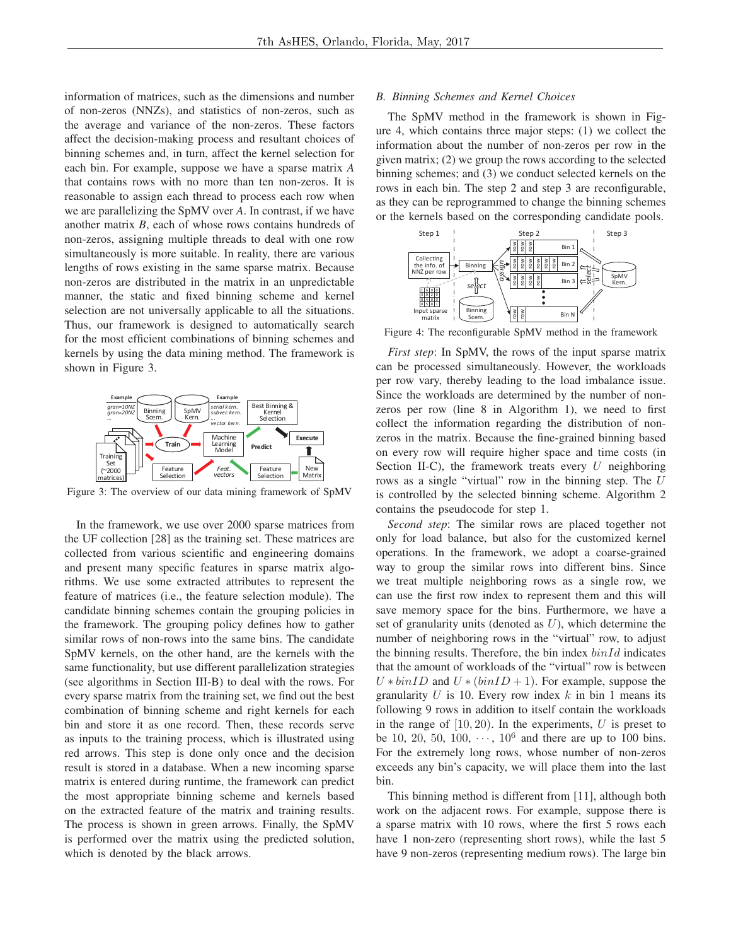information of matrices, such as the dimensions and number of non-zeros (NNZs), and statistics of non-zeros, such as the average and variance of the non-zeros. These factors affect the decision-making process and resultant choices of binning schemes and, in turn, affect the kernel selection for each bin. For example, suppose we have a sparse matrix *A* that contains rows with no more than ten non-zeros. It is reasonable to assign each thread to process each row when we are parallelizing the SpMV over *A*. In contrast, if we have another matrix *B*, each of whose rows contains hundreds of non-zeros, assigning multiple threads to deal with one row simultaneously is more suitable. In reality, there are various lengths of rows existing in the same sparse matrix. Because non-zeros are distributed in the matrix in an unpredictable manner, the static and fixed binning scheme and kernel selection are not universally applicable to all the situations. Thus, our framework is designed to automatically search for the most efficient combinations of binning schemes and kernels by using the data mining method. The framework is shown in Figure 3.



Figure 3: The overview of our data mining framework of SpMV

In the framework, we use over 2000 sparse matrices from the UF collection [28] as the training set. These matrices are collected from various scientific and engineering domains and present many specific features in sparse matrix algorithms. We use some extracted attributes to represent the feature of matrices (i.e., the feature selection module). The candidate binning schemes contain the grouping policies in the framework. The grouping policy defines how to gather similar rows of non-rows into the same bins. The candidate SpMV kernels, on the other hand, are the kernels with the same functionality, but use different parallelization strategies (see algorithms in Section III-B) to deal with the rows. For every sparse matrix from the training set, we find out the best combination of binning scheme and right kernels for each bin and store it as one record. Then, these records serve as inputs to the training process, which is illustrated using red arrows. This step is done only once and the decision result is stored in a database. When a new incoming sparse matrix is entered during runtime, the framework can predict the most appropriate binning scheme and kernels based on the extracted feature of the matrix and training results. The process is shown in green arrows. Finally, the SpMV is performed over the matrix using the predicted solution, which is denoted by the black arrows.

# *B. Binning Schemes and Kernel Choices*

The SpMV method in the framework is shown in Figure 4, which contains three major steps: (1) we collect the information about the number of non-zeros per row in the given matrix; (2) we group the rows according to the selected binning schemes; and (3) we conduct selected kernels on the rows in each bin. The step 2 and step 3 are reconfigurable, as they can be reprogrammed to change the binning schemes or the kernels based on the corresponding candidate pools.



Figure 4: The reconfigurable SpMV method in the framework

*First step*: In SpMV, the rows of the input sparse matrix can be processed simultaneously. However, the workloads per row vary, thereby leading to the load imbalance issue. Since the workloads are determined by the number of nonzeros per row (line 8 in Algorithm 1), we need to first collect the information regarding the distribution of nonzeros in the matrix. Because the fine-grained binning based on every row will require higher space and time costs (in Section II-C), the framework treats every  $U$  neighboring rows as a single "virtual" row in the binning step. The U is controlled by the selected binning scheme. Algorithm 2 contains the pseudocode for step 1.

*Second step*: The similar rows are placed together not only for load balance, but also for the customized kernel operations. In the framework, we adopt a coarse-grained way to group the similar rows into different bins. Since we treat multiple neighboring rows as a single row, we can use the first row index to represent them and this will save memory space for the bins. Furthermore, we have a set of granularity units (denoted as  $U$ ), which determine the number of neighboring rows in the "virtual" row, to adjust the binning results. Therefore, the bin index  $binId$  indicates that the amount of workloads of the "virtual" row is between  $U * binID$  and  $U * (binID + 1)$ . For example, suppose the granularity  $U$  is 10. Every row index  $k$  in bin 1 means its following 9 rows in addition to itself contain the workloads in the range of  $[10, 20)$ . In the experiments, U is preset to be 10, 20, 50, 100,  $\cdots$ , 10<sup>6</sup> and there are up to 100 bins. For the extremely long rows, whose number of non-zeros exceeds any bin's capacity, we will place them into the last bin.

This binning method is different from [11], although both work on the adjacent rows. For example, suppose there is a sparse matrix with 10 rows, where the first 5 rows each have 1 non-zero (representing short rows), while the last 5 have 9 non-zeros (representing medium rows). The large bin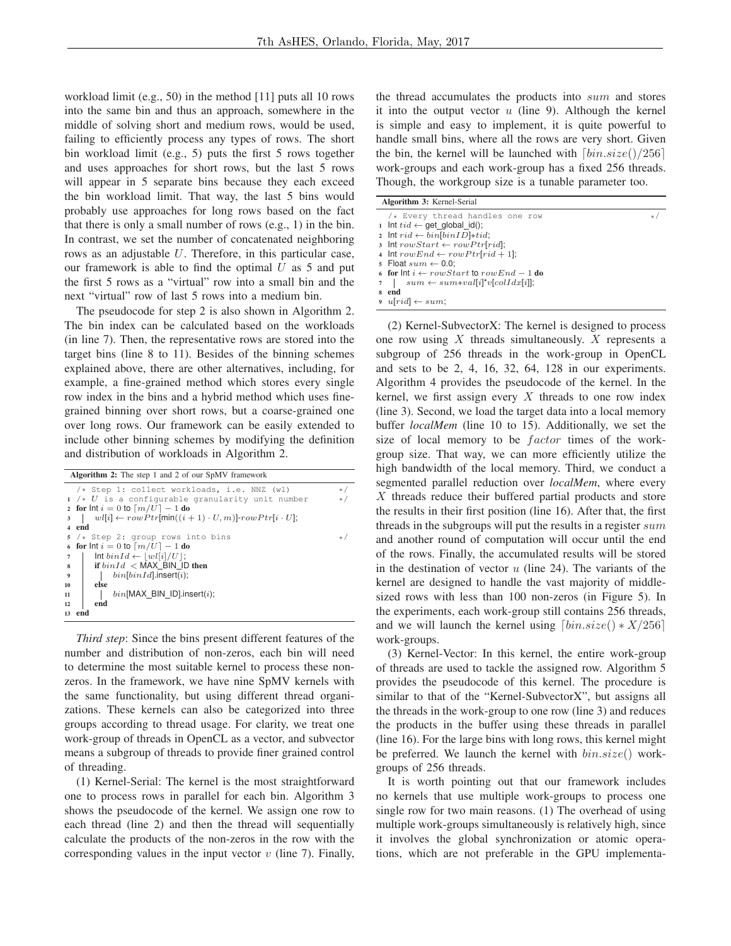workload limit (e.g., 50) in the method [11] puts all 10 rows into the same bin and thus an approach, somewhere in the middle of solving short and medium rows, would be used, failing to efficiently process any types of rows. The short bin workload limit (e.g., 5) puts the first 5 rows together and uses approaches for short rows, but the last 5 rows will appear in 5 separate bins because they each exceed the bin workload limit. That way, the last 5 bins would probably use approaches for long rows based on the fact that there is only a small number of rows (e.g., 1) in the bin. In contrast, we set the number of concatenated neighboring rows as an adjustable U. Therefore, in this particular case, our framework is able to find the optimal  $U$  as 5 and put the first 5 rows as a "virtual" row into a small bin and the next "virtual" row of last 5 rows into a medium bin.

The pseudocode for step 2 is also shown in Algorithm 2. The bin index can be calculated based on the workloads (in line 7). Then, the representative rows are stored into the target bins (line 8 to 11). Besides of the binning schemes explained above, there are other alternatives, including, for example, a fine-grained method which stores every single row index in the bins and a hybrid method which uses finegrained binning over short rows, but a coarse-grained one over long rows. Our framework can be easily extended to include other binning schemes by modifying the definition and distribution of workloads in Algorithm 2.

| <b>Algorithm 2:</b> The step 1 and 2 of our SpMV framework |                                                                                                                                                                                                                                           |                 |  |
|------------------------------------------------------------|-------------------------------------------------------------------------------------------------------------------------------------------------------------------------------------------------------------------------------------------|-----------------|--|
| 3                                                          | $/*$ Step 1: collect workloads, i.e. NNZ (wl)<br>$1 \neq U$ is a configurable granularity unit number<br>2 for lnt $i = 0$ to $\lceil m/U \rceil - 1$ do<br>  $wl[i] \leftarrow rowPtr[\min((i+1)\cdot U, m)]\cdot rowPtr[i\cdot U];$     | $\star/$<br>$*$ |  |
| $\overline{7}$<br>8<br>- 9<br>10                           | 4 end<br>$5 / *$ Step 2: group rows into bins<br>6 for lnt $i = 0$ to $\lceil m/U \rceil - 1$ do<br>$\ln t \, \text{bin} I \, d \leftarrow   \, \text{wl}[i] / U  $ ;<br>if $binId$ < MAX_BIN_ID then<br>$bin[binId]$ .insert(i);<br>else | $\star/$        |  |
| 11<br>12<br>13                                             | $bin[MAX$ BIN ID].insert(i);<br>end<br>end                                                                                                                                                                                                |                 |  |

*Third step*: Since the bins present different features of the number and distribution of non-zeros, each bin will need to determine the most suitable kernel to process these nonzeros. In the framework, we have nine SpMV kernels with the same functionality, but using different thread organizations. These kernels can also be categorized into three groups according to thread usage. For clarity, we treat one work-group of threads in OpenCL as a vector, and subvector means a subgroup of threads to provide finer grained control of threading.

(1) Kernel-Serial: The kernel is the most straightforward one to process rows in parallel for each bin. Algorithm 3 shows the pseudocode of the kernel. We assign one row to each thread (line 2) and then the thread will sequentially calculate the products of the non-zeros in the row with the corresponding values in the input vector  $v$  (line 7). Finally, the thread accumulates the products into sum and stores it into the output vector  $u$  (line 9). Although the kernel is simple and easy to implement, it is quite powerful to handle small bins, where all the rows are very short. Given the bin, the kernel will be launched with  $\lceil bin.size() / 256 \rceil$ work-groups and each work-group has a fixed 256 threads. Though, the workgroup size is a tunable parameter too.

| Algorithm 3: Kernel-Serial |                                                      |  |  |
|----------------------------|------------------------------------------------------|--|--|
|                            | $/*$ Every thread handles one row                    |  |  |
|                            | 1 Int $tid \leftarrow get\_global_id();$             |  |  |
|                            | 2 $Int rid \leftarrow bin[binID]+tid;$               |  |  |
|                            | 3 Int row Start $\leftarrow rowPtr[rid]$ ;           |  |  |
|                            | 4 Int row $End \leftarrow rowPtr[rid + 1]$ ;         |  |  |
|                            | 5 Float $sum \leftarrow 0.0$ ;                       |  |  |
|                            | 6 for $\ln i \leftarrow rowStart$ to $rowEnd - 1$ do |  |  |
|                            | 7 $sum \leftarrow sum + val[i]^*v[colIdx[i]];$       |  |  |
|                            | 8 end                                                |  |  |
|                            | 9 $u[rid] \leftarrow sum;$                           |  |  |
|                            |                                                      |  |  |

(2) Kernel-SubvectorX: The kernel is designed to process one row using  $X$  threads simultaneously.  $X$  represents a subgroup of 256 threads in the work-group in OpenCL and sets to be 2, 4, 16, 32, 64, 128 in our experiments. Algorithm 4 provides the pseudocode of the kernel. In the kernel, we first assign every  $X$  threads to one row index (line 3). Second, we load the target data into a local memory buffer *localMem* (line 10 to 15). Additionally, we set the size of local memory to be  $factor$  times of the workgroup size. That way, we can more efficiently utilize the high bandwidth of the local memory. Third, we conduct a segmented parallel reduction over *localMem*, where every X threads reduce their buffered partial products and store the results in their first position (line 16). After that, the first threads in the subgroups will put the results in a register sum and another round of computation will occur until the end of the rows. Finally, the accumulated results will be stored in the destination of vector  $u$  (line 24). The variants of the kernel are designed to handle the vast majority of middlesized rows with less than 100 non-zeros (in Figure 5). In the experiments, each work-group still contains 256 threads, and we will launch the kernel using  $\lceil bin.size() * X/256 \rceil$ work-groups.

(3) Kernel-Vector: In this kernel, the entire work-group of threads are used to tackle the assigned row. Algorithm 5 provides the pseudocode of this kernel. The procedure is similar to that of the "Kernel-SubvectorX", but assigns all the threads in the work-group to one row (line 3) and reduces the products in the buffer using these threads in parallel (line 16). For the large bins with long rows, this kernel might be preferred. We launch the kernel with  $bin.size()$  workgroups of 256 threads.

It is worth pointing out that our framework includes no kernels that use multiple work-groups to process one single row for two main reasons. (1) The overhead of using multiple work-groups simultaneously is relatively high, since it involves the global synchronization or atomic operations, which are not preferable in the GPU implementa-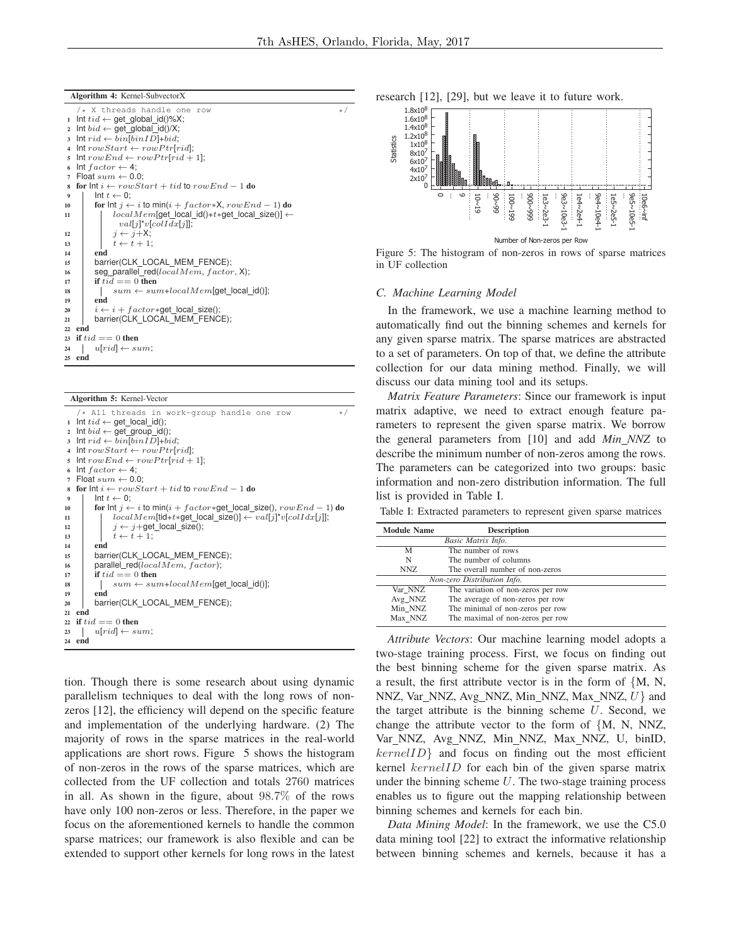Algorithm 4: Kernel-SubvectorX  $/* X$  threads handle one row  $*/$ 1 Int  $tid \leftarrow get\_global_id()$ %X; 2 Int  $bid \leftarrow get\_global_id()$ /X;  $\mathfrak{z}\;\;\mathsf{Int}\;rid\gets\mathit{bin}[binID]\text{-}\mathit{bid};$ 4 Int rowStart  $\leftarrow rowPtr[rid];$ <br>5 Int rowEnd  $\leftarrow rowPtr[rid +$  $Int\,rowEnd \leftarrow rowPtr[rid + 1];$ 6 Int  $factor \leftarrow 4$ ; Float  $sum \leftarrow 0.0$ ; 8 for lnt *i* ← *rowStart* + *tid* to *rowEnd* – 1 do<br>9 | lnt *t* ← 0: 9 Int  $t \leftarrow 0$ ;<br>10 for Int  $i \leftarrow$ 10 for  $\ln j \leftarrow i$  to  $\min(i + factor * X, rowEnd - 1)$  do<br>
11  $local Mem[get local id() + t * get local size() ] \leftarrow$  $local Mem[\texttt{get\_local\_id}() + t * \texttt{get\_local\_size}()] \leftarrow$  $val[j]^*v[colIdx[j]];$ 12  $j \leftarrow j+X;$ <br>
13  $t \leftarrow t+1;$  $\begin{array}{c|c}\n\text{13} & \text{14} \\
\text{14} & \text{15}\n\end{array}$ end 15 barrier(CLK\_LOCAL\_MEM\_FENCE); 16 seg parallel red( $local Mem, factor, X$ ); 17 if  $tid == 0$  then 18  $\parallel$  sum  $\leftarrow$  sum+localMem[get\_local\_id()];<br>19 end end 20  $i \leftarrow i + factor*get\_local\_size();$ <br>21 barrier(CLK LOCAL MEM FENC barrier(CLK\_LOCAL\_MEM\_FENCE); 22 end 23 if  $tid == 0$  then 24  $u[rid] \leftarrow sum;$ 25 end

#### Algorithm 5: Kernel-Vector

|                  | /* All threads in work-group handle one row<br>$\star/$                             |  |  |  |  |
|------------------|-------------------------------------------------------------------------------------|--|--|--|--|
|                  | 1 Int $tid \leftarrow$ get_local_id();                                              |  |  |  |  |
|                  | 2 Int $bid \leftarrow get$ group id();                                              |  |  |  |  |
|                  | 3 Int $rid \leftarrow bin[binID]+bid;$                                              |  |  |  |  |
|                  | 4 Int row Start $\leftarrow rowPtr[rid]$ ;                                          |  |  |  |  |
|                  | $5 \text{ Int } rowEnd \leftarrow rowPtr[rid + 1];$                                 |  |  |  |  |
|                  | 6 Int $factor \leftarrow 4$ ;                                                       |  |  |  |  |
|                  | 7 Float $sum \leftarrow 0.0$ ;                                                      |  |  |  |  |
|                  | s for $\ln i \leftarrow rowStart + tid$ to $rowEnd - 1$ do                          |  |  |  |  |
| $\boldsymbol{9}$ | Int $t \leftarrow 0$ ;                                                              |  |  |  |  |
| 10               | for lnt $j \leftarrow i$ to min( $i + factor * get$ local size(), $rowEnd - 1$ ) do |  |  |  |  |
| 11               | $local Mem[tid+t*get local size()] \leftarrow val[j]*v[colIdx[j];$                  |  |  |  |  |
| 12               | $j \leftarrow j + \text{get local size}$                                            |  |  |  |  |
| 13               | $t \leftarrow t + 1$ ;                                                              |  |  |  |  |
| 14               | end                                                                                 |  |  |  |  |
| 15               | barrier(CLK LOCAL MEM FENCE);                                                       |  |  |  |  |
| 16               | parallel red( $local Mem, factor$ );                                                |  |  |  |  |
| 17               | if $tid == 0$ then                                                                  |  |  |  |  |
| 18               | $sum \leftarrow sum + localMem[get\_local_id()];$                                   |  |  |  |  |
| 19               | end                                                                                 |  |  |  |  |
| 20               | barrier(CLK LOCAL MEM FENCE);                                                       |  |  |  |  |
| 21               | end                                                                                 |  |  |  |  |
|                  | 22 if $tid == 0$ then                                                               |  |  |  |  |
| 23               | $u[rid] \leftarrow sum;$                                                            |  |  |  |  |
|                  | 24 end                                                                              |  |  |  |  |
|                  |                                                                                     |  |  |  |  |
|                  |                                                                                     |  |  |  |  |

tion. Though there is some research about using dynamic parallelism techniques to deal with the long rows of nonzeros [12], the efficiency will depend on the specific feature and implementation of the underlying hardware. (2) The majority of rows in the sparse matrices in the real-world applications are short rows. Figure 5 shows the histogram of non-zeros in the rows of the sparse matrices, which are collected from the UF collection and totals 2760 matrices in all. As shown in the figure, about 98.7% of the rows have only 100 non-zeros or less. Therefore, in the paper we focus on the aforementioned kernels to handle the common sparse matrices; our framework is also flexible and can be extended to support other kernels for long rows in the latest research [12], [29], but we leave it to future work.





#### *C. Machine Learning Model*

In the framework, we use a machine learning method to automatically find out the binning schemes and kernels for any given sparse matrix. The sparse matrices are abstracted to a set of parameters. On top of that, we define the attribute collection for our data mining method. Finally, we will discuss our data mining tool and its setups.

*Matrix Feature Parameters*: Since our framework is input matrix adaptive, we need to extract enough feature parameters to represent the given sparse matrix. We borrow the general parameters from [10] and add *Min NNZ* to describe the minimum number of non-zeros among the rows. The parameters can be categorized into two groups: basic information and non-zero distribution information. The full list is provided in Table I.

Table I: Extracted parameters to represent given sparse matrices

| <b>Module Name</b> | <b>Description</b>                 |  |
|--------------------|------------------------------------|--|
|                    | Basic Matrix Info.                 |  |
| M                  | The number of rows                 |  |
| N                  | The number of columns              |  |
| NNZ.               | The overall number of non-zeros    |  |
|                    | Non-zero Distribution Info.        |  |
| Var NNZ            | The variation of non-zeros per row |  |
| Avg NNZ            | The average of non-zeros per row   |  |
| Min NNZ            | The minimal of non-zeros per row   |  |
| Max_NNZ            | The maximal of non-zeros per row   |  |

*Attribute Vectors*: Our machine learning model adopts a two-stage training process. First, we focus on finding out the best binning scheme for the given sparse matrix. As a result, the first attribute vector is in the form of  $\{M, N, \}$ NNZ, Var\_NNZ, Avg\_NNZ, Min\_NNZ, Max\_NNZ,  $U$ } and the target attribute is the binning scheme  $U$ . Second, we change the attribute vector to the form of {M, N, NNZ, Var NNZ, Avg NNZ, Min NNZ, Max NNZ, U, binID,  $kernelID$  and focus on finding out the most efficient kernel kernelID for each bin of the given sparse matrix under the binning scheme  $U$ . The two-stage training process enables us to figure out the mapping relationship between binning schemes and kernels for each bin.

*Data Mining Model*: In the framework, we use the C5.0 data mining tool [22] to extract the informative relationship between binning schemes and kernels, because it has a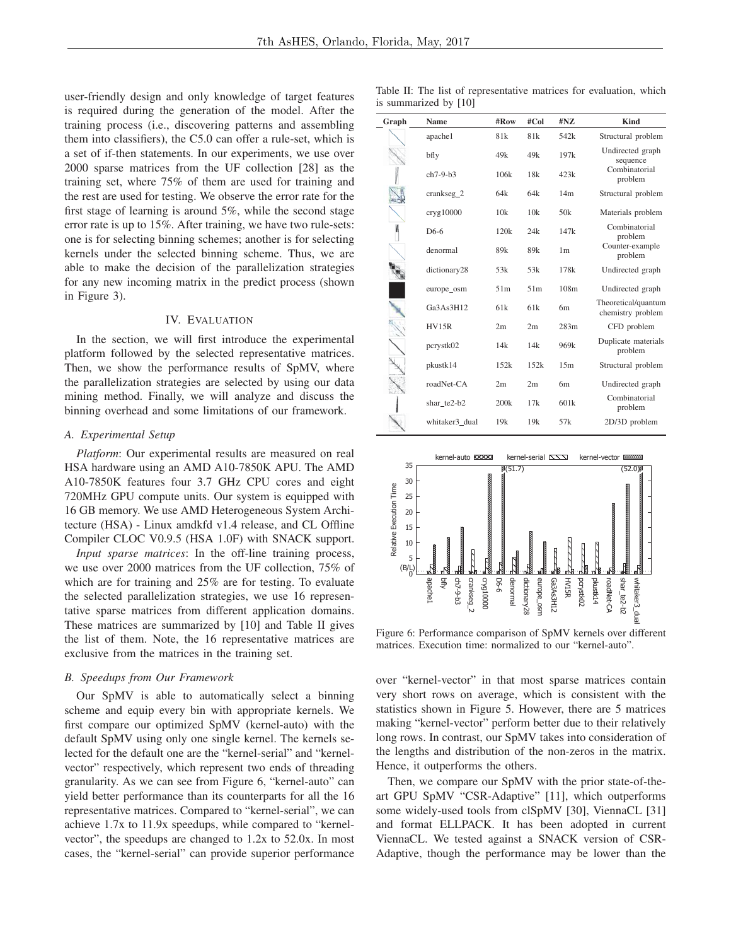user-friendly design and only knowledge of target features is required during the generation of the model. After the training process (i.e., discovering patterns and assembling them into classifiers), the C5.0 can offer a rule-set, which is a set of if-then statements. In our experiments, we use over 2000 sparse matrices from the UF collection [28] as the training set, where 75% of them are used for training and the rest are used for testing. We observe the error rate for the first stage of learning is around 5%, while the second stage error rate is up to 15%. After training, we have two rule-sets: one is for selecting binning schemes; another is for selecting kernels under the selected binning scheme. Thus, we are able to make the decision of the parallelization strategies for any new incoming matrix in the predict process (shown in Figure 3).

# IV. EVALUATION

In the section, we will first introduce the experimental platform followed by the selected representative matrices. Then, we show the performance results of SpMV, where the parallelization strategies are selected by using our data mining method. Finally, we will analyze and discuss the binning overhead and some limitations of our framework.

# *A. Experimental Setup*

*Platform*: Our experimental results are measured on real HSA hardware using an AMD A10-7850K APU. The AMD A10-7850K features four 3.7 GHz CPU cores and eight 720MHz GPU compute units. Our system is equipped with 16 GB memory. We use AMD Heterogeneous System Architecture (HSA) - Linux amdkfd v1.4 release, and CL Offline Compiler CLOC V0.9.5 (HSA 1.0F) with SNACK support.

*Input sparse matrices*: In the off-line training process, we use over 2000 matrices from the UF collection, 75% of which are for training and 25% are for testing. To evaluate the selected parallelization strategies, we use 16 representative sparse matrices from different application domains. These matrices are summarized by [10] and Table II gives the list of them. Note, the 16 representative matrices are exclusive from the matrices in the training set.

# *B. Speedups from Our Framework*

Our SpMV is able to automatically select a binning scheme and equip every bin with appropriate kernels. We first compare our optimized SpMV (kernel-auto) with the default SpMV using only one single kernel. The kernels selected for the default one are the "kernel-serial" and "kernelvector" respectively, which represent two ends of threading granularity. As we can see from Figure 6, "kernel-auto" can yield better performance than its counterparts for all the 16 representative matrices. Compared to "kernel-serial", we can achieve 1.7x to 11.9x speedups, while compared to "kernelvector", the speedups are changed to 1.2x to 52.0x. In most cases, the "kernel-serial" can provide superior performance

Table II: The list of representative matrices for evaluation, which is summarized by [10]

| Graph | <b>Name</b>                 | #Row | #Col | #NZ              | <b>Kind</b>                              |
|-------|-----------------------------|------|------|------------------|------------------------------------------|
|       | apache1                     | 81k  | 81k  | 542k             | Structural problem                       |
|       | bfly                        | 49k  | 49k  | 197k             | Undirected graph<br>sequence             |
|       | $ch7-9-h3$                  | 106k | 18k  | 423k             | Combinatorial<br>problem                 |
|       | $crankseg_2$                | 64k  | 64k  | 14m              | Structural problem                       |
|       | $\frac{\text{cryg}}{10000}$ | 10k  | 10k  | 50k              | Materials problem                        |
|       | D6-6                        | 120k | 24k  | 147k             | Combinatorial<br>problem                 |
|       | denormal                    | 89k  | 89k  | 1 <sub>m</sub>   | Counter-example<br>problem               |
|       | dictionary28                | 53k  | 53k  | 178k             | Undirected graph                         |
|       | europe_osm                  | 51m  | 51m  | 108m             | Undirected graph                         |
|       | Ga3As3H12                   | 61k  | 61k  | 6m               | Theoretical/quantum<br>chemistry problem |
|       | <b>HV15R</b>                | 2m   | 2m   | 283m             | CFD problem                              |
|       | pcrystk02                   | 14k  | 14k  | 969k             | Duplicate materials<br>problem           |
|       | pkustk14                    | 152k | 152k | 15m              | Structural problem                       |
|       | roadNet-CA                  | 2m   | 2m   | 6m               | Undirected graph                         |
|       | shar te2-b2                 | 200k | 17k  | 601 <sub>k</sub> | Combinatorial<br>problem                 |
|       | whitaker3 dual              | 19k  | 19k  | 57k              | 2D/3D problem                            |



Figure 6: Performance comparison of SpMV kernels over different matrices. Execution time: normalized to our "kernel-auto".

over "kernel-vector" in that most sparse matrices contain very short rows on average, which is consistent with the statistics shown in Figure 5. However, there are 5 matrices making "kernel-vector" perform better due to their relatively long rows. In contrast, our SpMV takes into consideration of the lengths and distribution of the non-zeros in the matrix. Hence, it outperforms the others.

Then, we compare our SpMV with the prior state-of-theart GPU SpMV "CSR-Adaptive" [11], which outperforms some widely-used tools from clSpMV [30], ViennaCL [31] and format ELLPACK. It has been adopted in current ViennaCL. We tested against a SNACK version of CSR-Adaptive, though the performance may be lower than the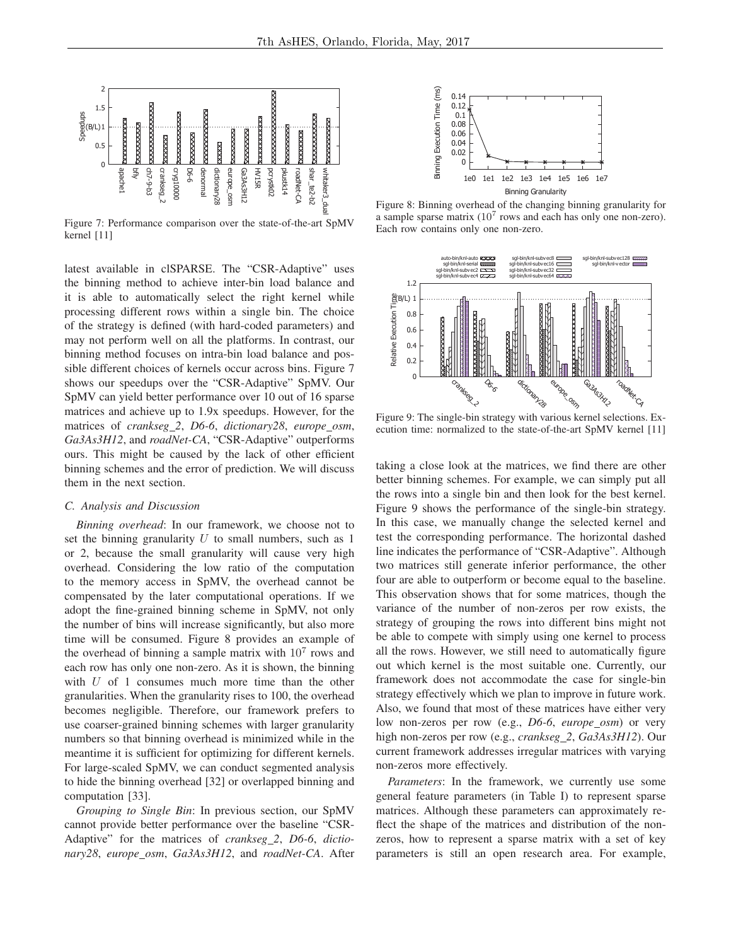

Figure 7: Performance comparison over the state-of-the-art SpMV kernel [11]

latest available in clSPARSE. The "CSR-Adaptive" uses the binning method to achieve inter-bin load balance and it is able to automatically select the right kernel while processing different rows within a single bin. The choice of the strategy is defined (with hard-coded parameters) and may not perform well on all the platforms. In contrast, our binning method focuses on intra-bin load balance and possible different choices of kernels occur across bins. Figure 7 shows our speedups over the "CSR-Adaptive" SpMV. Our SpMV can yield better performance over 10 out of 16 sparse matrices and achieve up to 1.9x speedups. However, for the matrices of *crankseg 2*, *D6-6*, *dictionary28*, *europe osm*, *Ga3As3H12*, and *roadNet-CA*, "CSR-Adaptive" outperforms ours. This might be caused by the lack of other efficient binning schemes and the error of prediction. We will discuss them in the next section.

### *C. Analysis and Discussion*

*Binning overhead*: In our framework, we choose not to set the binning granularity  $U$  to small numbers, such as 1 or 2, because the small granularity will cause very high overhead. Considering the low ratio of the computation to the memory access in SpMV, the overhead cannot be compensated by the later computational operations. If we adopt the fine-grained binning scheme in SpMV, not only the number of bins will increase significantly, but also more time will be consumed. Figure 8 provides an example of the overhead of binning a sample matrix with  $10<sup>7</sup>$  rows and each row has only one non-zero. As it is shown, the binning with  $U$  of 1 consumes much more time than the other granularities. When the granularity rises to 100, the overhead becomes negligible. Therefore, our framework prefers to use coarser-grained binning schemes with larger granularity numbers so that binning overhead is minimized while in the meantime it is sufficient for optimizing for different kernels. For large-scaled SpMV, we can conduct segmented analysis to hide the binning overhead [32] or overlapped binning and computation [33].

*Grouping to Single Bin*: In previous section, our SpMV cannot provide better performance over the baseline "CSR-Adaptive" for the matrices of *crankseg*<sub>2</sub>, *D6-6*, *dictionary28*, *europe osm*, *Ga3As3H12*, and *roadNet-CA*. After



Figure 8: Binning overhead of the changing binning granularity for a sample sparse matrix  $(10^7 \text{ rows and each has only one non-zero}).$ Each row contains only one non-zero.



Figure 9: The single-bin strategy with various kernel selections. Execution time: normalized to the state-of-the-art SpMV kernel [11]

taking a close look at the matrices, we find there are other better binning schemes. For example, we can simply put all the rows into a single bin and then look for the best kernel. Figure 9 shows the performance of the single-bin strategy. In this case, we manually change the selected kernel and test the corresponding performance. The horizontal dashed line indicates the performance of "CSR-Adaptive". Although two matrices still generate inferior performance, the other four are able to outperform or become equal to the baseline. This observation shows that for some matrices, though the variance of the number of non-zeros per row exists, the strategy of grouping the rows into different bins might not be able to compete with simply using one kernel to process all the rows. However, we still need to automatically figure out which kernel is the most suitable one. Currently, our framework does not accommodate the case for single-bin strategy effectively which we plan to improve in future work. Also, we found that most of these matrices have either very low non-zeros per row (e.g., *D6-6*, *europe\_osm*) or very high non-zeros per row (e.g., *crankseg 2*, *Ga3As3H12*). Our current framework addresses irregular matrices with varying non-zeros more effectively.

*Parameters*: In the framework, we currently use some general feature parameters (in Table I) to represent sparse matrices. Although these parameters can approximately reflect the shape of the matrices and distribution of the nonzeros, how to represent a sparse matrix with a set of key parameters is still an open research area. For example,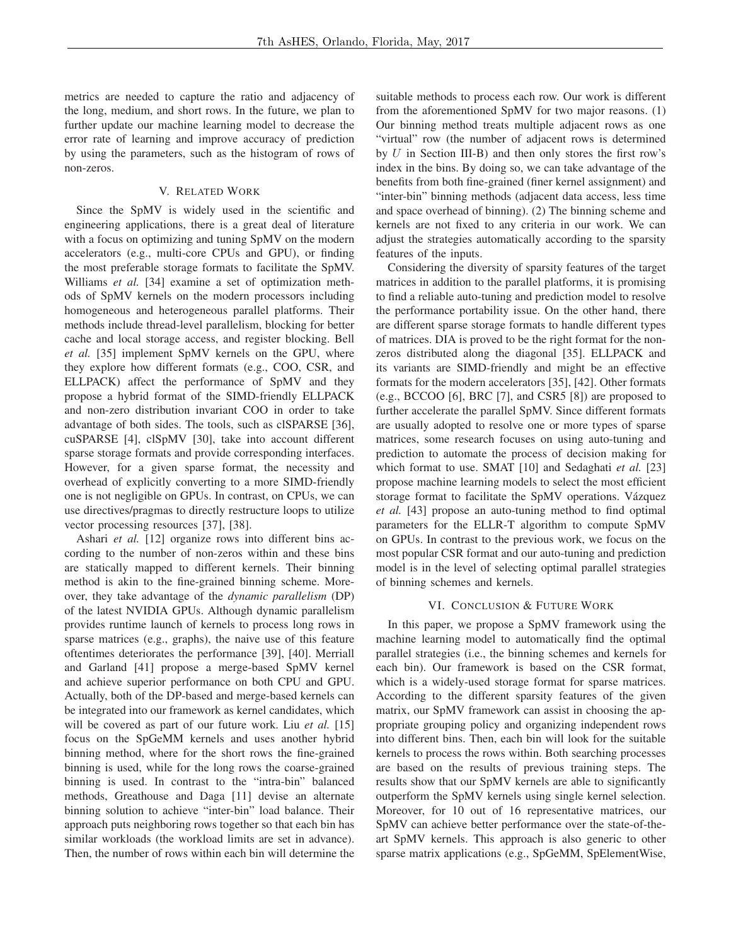metrics are needed to capture the ratio and adjacency of the long, medium, and short rows. In the future, we plan to further update our machine learning model to decrease the error rate of learning and improve accuracy of prediction by using the parameters, such as the histogram of rows of non-zeros.

# V. RELATED WORK

Since the SpMV is widely used in the scientific and engineering applications, there is a great deal of literature with a focus on optimizing and tuning SpMV on the modern accelerators (e.g., multi-core CPUs and GPU), or finding the most preferable storage formats to facilitate the SpMV. Williams *et al.* [34] examine a set of optimization methods of SpMV kernels on the modern processors including homogeneous and heterogeneous parallel platforms. Their methods include thread-level parallelism, blocking for better cache and local storage access, and register blocking. Bell *et al.* [35] implement SpMV kernels on the GPU, where they explore how different formats (e.g., COO, CSR, and ELLPACK) affect the performance of SpMV and they propose a hybrid format of the SIMD-friendly ELLPACK and non-zero distribution invariant COO in order to take advantage of both sides. The tools, such as clSPARSE [36], cuSPARSE [4], clSpMV [30], take into account different sparse storage formats and provide corresponding interfaces. However, for a given sparse format, the necessity and overhead of explicitly converting to a more SIMD-friendly one is not negligible on GPUs. In contrast, on CPUs, we can use directives/pragmas to directly restructure loops to utilize vector processing resources [37], [38].

Ashari *et al.* [12] organize rows into different bins according to the number of non-zeros within and these bins are statically mapped to different kernels. Their binning method is akin to the fine-grained binning scheme. Moreover, they take advantage of the *dynamic parallelism* (DP) of the latest NVIDIA GPUs. Although dynamic parallelism provides runtime launch of kernels to process long rows in sparse matrices (e.g., graphs), the naive use of this feature oftentimes deteriorates the performance [39], [40]. Merriall and Garland [41] propose a merge-based SpMV kernel and achieve superior performance on both CPU and GPU. Actually, both of the DP-based and merge-based kernels can be integrated into our framework as kernel candidates, which will be covered as part of our future work. Liu *et al.* [15] focus on the SpGeMM kernels and uses another hybrid binning method, where for the short rows the fine-grained binning is used, while for the long rows the coarse-grained binning is used. In contrast to the "intra-bin" balanced methods, Greathouse and Daga [11] devise an alternate binning solution to achieve "inter-bin" load balance. Their approach puts neighboring rows together so that each bin has similar workloads (the workload limits are set in advance). Then, the number of rows within each bin will determine the suitable methods to process each row. Our work is different from the aforementioned SpMV for two major reasons. (1) Our binning method treats multiple adjacent rows as one "virtual" row (the number of adjacent rows is determined by  $U$  in Section III-B) and then only stores the first row's index in the bins. By doing so, we can take advantage of the benefits from both fine-grained (finer kernel assignment) and "inter-bin" binning methods (adjacent data access, less time and space overhead of binning). (2) The binning scheme and kernels are not fixed to any criteria in our work. We can adjust the strategies automatically according to the sparsity features of the inputs.

Considering the diversity of sparsity features of the target matrices in addition to the parallel platforms, it is promising to find a reliable auto-tuning and prediction model to resolve the performance portability issue. On the other hand, there are different sparse storage formats to handle different types of matrices. DIA is proved to be the right format for the nonzeros distributed along the diagonal [35]. ELLPACK and its variants are SIMD-friendly and might be an effective formats for the modern accelerators [35], [42]. Other formats (e.g., BCCOO [6], BRC [7], and CSR5 [8]) are proposed to further accelerate the parallel SpMV. Since different formats are usually adopted to resolve one or more types of sparse matrices, some research focuses on using auto-tuning and prediction to automate the process of decision making for which format to use. SMAT [10] and Sedaghati *et al.* [23] propose machine learning models to select the most efficient storage format to facilitate the SpMV operations. Vázquez *et al.* [43] propose an auto-tuning method to find optimal parameters for the ELLR-T algorithm to compute SpMV on GPUs. In contrast to the previous work, we focus on the most popular CSR format and our auto-tuning and prediction model is in the level of selecting optimal parallel strategies of binning schemes and kernels.

# VI. CONCLUSION & FUTURE WORK

In this paper, we propose a SpMV framework using the machine learning model to automatically find the optimal parallel strategies (i.e., the binning schemes and kernels for each bin). Our framework is based on the CSR format, which is a widely-used storage format for sparse matrices. According to the different sparsity features of the given matrix, our SpMV framework can assist in choosing the appropriate grouping policy and organizing independent rows into different bins. Then, each bin will look for the suitable kernels to process the rows within. Both searching processes are based on the results of previous training steps. The results show that our SpMV kernels are able to significantly outperform the SpMV kernels using single kernel selection. Moreover, for 10 out of 16 representative matrices, our SpMV can achieve better performance over the state-of-theart SpMV kernels. This approach is also generic to other sparse matrix applications (e.g., SpGeMM, SpElementWise,